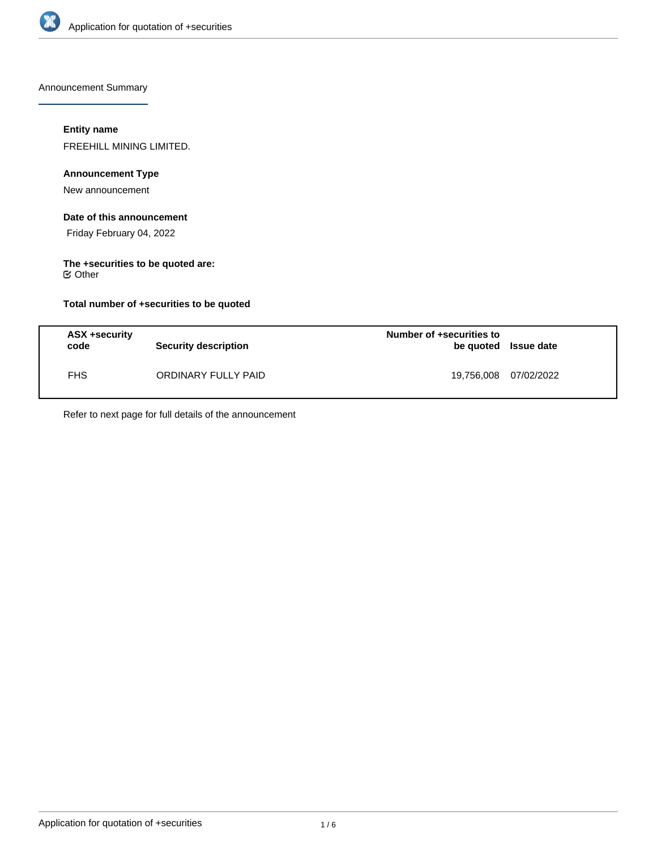

Announcement Summary

## **Entity name**

FREEHILL MINING LIMITED.

# **Announcement Type**

New announcement

# **Date of this announcement**

Friday February 04, 2022

#### **The +securities to be quoted are:**  $⊜$  Other

**Total number of +securities to be quoted**

| ASX +security<br>code | <b>Security description</b> | Number of +securities to<br>be quoted Issue date |            |
|-----------------------|-----------------------------|--------------------------------------------------|------------|
| <b>FHS</b>            | ORDINARY FULLY PAID         | 19,756,008                                       | 07/02/2022 |

Refer to next page for full details of the announcement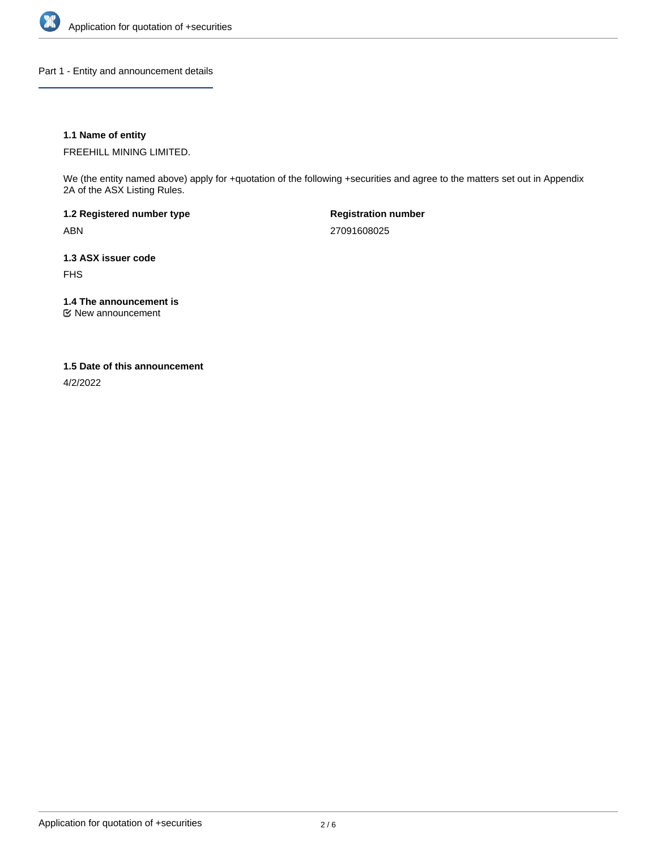

Part 1 - Entity and announcement details

# **1.1 Name of entity**

FREEHILL MINING LIMITED.

We (the entity named above) apply for +quotation of the following +securities and agree to the matters set out in Appendix 2A of the ASX Listing Rules.

**1.2 Registered number type** ABN

**Registration number** 27091608025

**1.3 ASX issuer code** FHS

**1.4 The announcement is**

New announcement

#### **1.5 Date of this announcement**

4/2/2022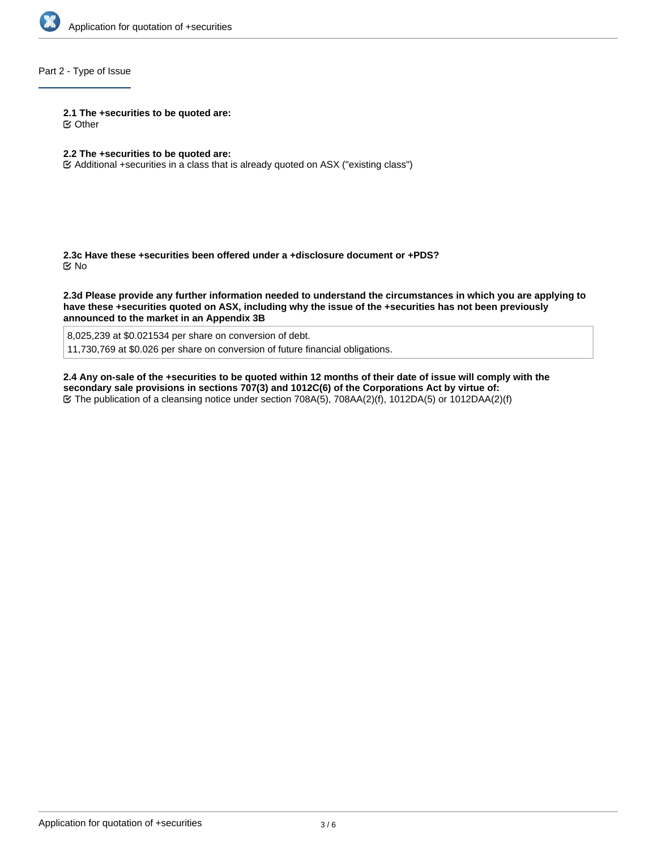

# Part 2 - Type of Issue

**2.1 The +securities to be quoted are:**

Other

- **2.2 The +securities to be quoted are:**
- Additional +securities in a class that is already quoted on ASX ("existing class")

**2.3c Have these +securities been offered under a +disclosure document or +PDS?** No

**2.3d Please provide any further information needed to understand the circumstances in which you are applying to have these +securities quoted on ASX, including why the issue of the +securities has not been previously announced to the market in an Appendix 3B**

8,025,239 at \$0.021534 per share on conversion of debt. 11,730,769 at \$0.026 per share on conversion of future financial obligations.

**2.4 Any on-sale of the +securities to be quoted within 12 months of their date of issue will comply with the secondary sale provisions in sections 707(3) and 1012C(6) of the Corporations Act by virtue of:** The publication of a cleansing notice under section 708A(5), 708AA(2)(f), 1012DA(5) or 1012DAA(2)(f)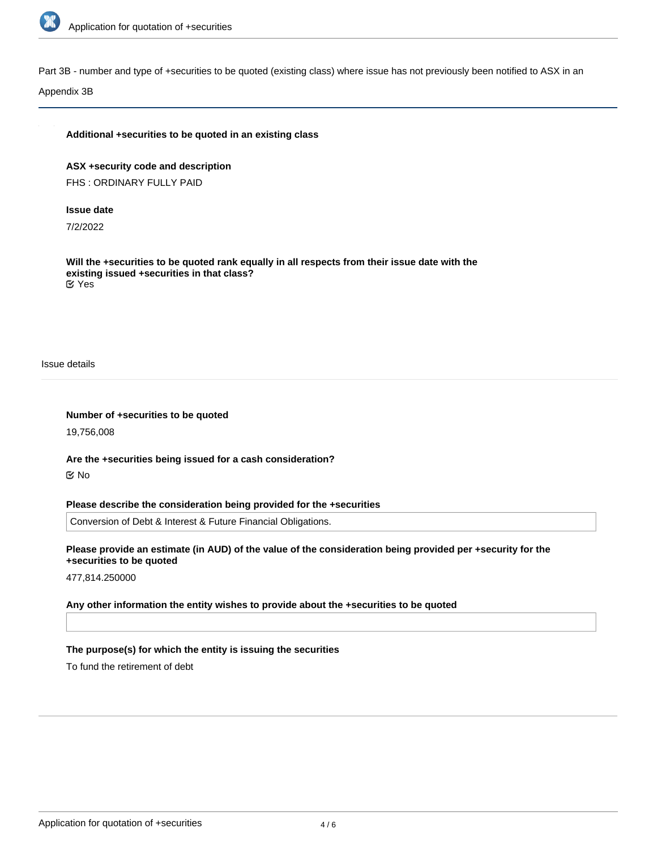

Part 3B - number and type of +securities to be quoted (existing class) where issue has not previously been notified to ASX in an

Appendix 3B

#### **Additional +securities to be quoted in an existing class**

**ASX +security code and description** FHS : ORDINARY FULLY PAID

#### **Issue date**

7/2/2022

**Will the +securities to be quoted rank equally in all respects from their issue date with the existing issued +securities in that class?** Yes

Issue details

**Number of +securities to be quoted**

19,756,008

**Are the +securities being issued for a cash consideration?** No

#### **Please describe the consideration being provided for the +securities**

Conversion of Debt & Interest & Future Financial Obligations.

**Please provide an estimate (in AUD) of the value of the consideration being provided per +security for the +securities to be quoted**

477,814.250000

#### **Any other information the entity wishes to provide about the +securities to be quoted**

**The purpose(s) for which the entity is issuing the securities**

To fund the retirement of debt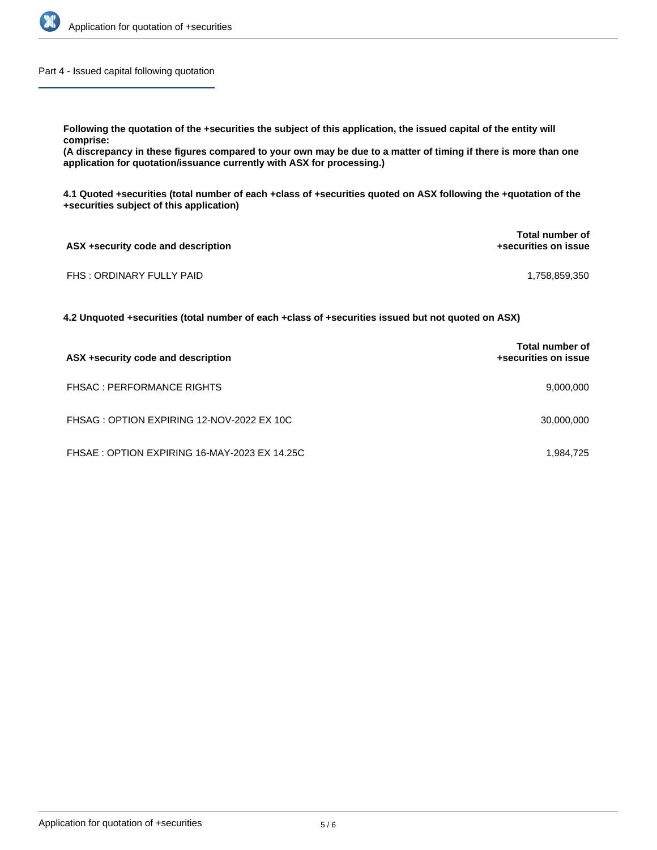

Part 4 - Issued capital following quotation

**Following the quotation of the +securities the subject of this application, the issued capital of the entity will comprise:**

**(A discrepancy in these figures compared to your own may be due to a matter of timing if there is more than one application for quotation/issuance currently with ASX for processing.)**

**4.1 Quoted +securities (total number of each +class of +securities quoted on ASX following the +quotation of the +securities subject of this application)**

| ASX +security code and description | Total number of<br>+securities on issue |
|------------------------------------|-----------------------------------------|
| FHS: ORDINARY FULLY PAID           | 1,758,859,350                           |

**4.2 Unquoted +securities (total number of each +class of +securities issued but not quoted on ASX)**

| ASX +security code and description           | Total number of<br>+securities on issue |
|----------------------------------------------|-----------------------------------------|
| <b>FHSAC: PERFORMANCE RIGHTS</b>             | 9,000,000                               |
| FHSAG: OPTION EXPIRING 12-NOV-2022 EX 10C    | 30,000,000                              |
| FHSAE: OPTION EXPIRING 16-MAY-2023 EX 14.25C | 1,984,725                               |